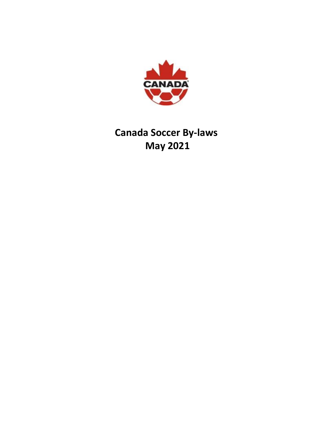

# **Canada Soccer By-laws May 2021**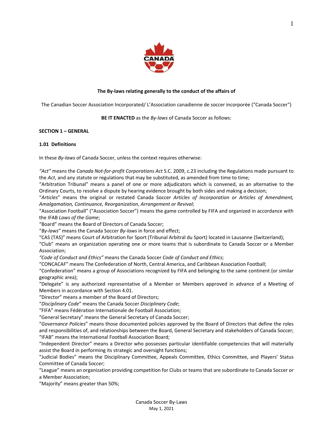

## **The By-laws relating generally to the conduct of the affairs of**

The Canadian Soccer Association Incorporated/ L'Association canadienne de soccer incorporée ("Canada Soccer")

**BE IT ENACTED** as the *By-laws* of Canada Soccer as follows:

#### **SECTION 1 – GENERAL**

## **1.01 Definitions**

In these *By-laws* of Canada Soccer, unless the context requires otherwise:

*"Act"* means the *Canada Not-for-profit Corporations Act* S.C. 2009, c.23 including the Regulations made pursuant to the *Act*, and any statute or regulations that may be substituted, as amended from time to time;

"Arbitration Tribunal" means a panel of one or more adjudicators which is convened, as an alternative to the Ordinary Courts, to resolve a dispute by hearing evidence brought by both sides and making a decision;

"*Articles*" means the original or restated Canada Soccer *Articles of Incorporation or Articles of Amendment, Amalgamation, Continuance, Reorganization, Arrangement or Revival*;

"Association Football" ("Association Soccer") means the game controlled by FIFA and organized in accordance with the IFAB *Laws of the Game*;

"Board" means the Board of Directors of Canada Soccer;

"*By-laws*" means the Canada Soccer *By-laws* in force and effect;

"CAS (TAS)" means Court of Arbitration for Sport (Tribunal Arbitral du Sport) located in Lausanne (Switzerland);

"Club" means an organization operating one or more teams that is subordinate to Canada Soccer or a Member Association;

*"Code of Conduct and Ethics"* means the Canada Soccer *Code of Conduct and Ethics*;

"CONCACAF" means The Confederation of North, Central America, and Caribbean Association Football;

"Confederation" means a group of Associations recognized by FIFA and belonging to the same continent (or similar geographic area);

"Delegate" is any authorized representative of a Member or Members approved in advance of a Meeting of Members in accordance with Section 4.01.

"Director" means a member of the Board of Directors;

"*Disciplinary Code*" means the Canada Soccer *Disciplinary Code*;

"FIFA" means Fédération Internationale de Football Association;

"General Secretary" means the General Secretary of Canada Soccer;

"*Governance Policies*" means those documented policies approved by the Board of Directors that define the roles and responsibilities of, and relationships between the Board, General Secretary and stakeholders of Canada Soccer; "IFAB" means the International Football Association Board;

"Independent Director" means a Director who possesses particular identifiable competencies that will materially assist the Board in performing its strategic and oversight functions;

"Judicial Bodies" means the Disciplinary Committee, Appeals Committee, Ethics Committee, and Players' Status Committee of Canada Soccer;

"League" means an organization providing competition for Clubs or teams that are subordinate to Canada Soccer or a Member Association;

"Majority" means greater than 50%;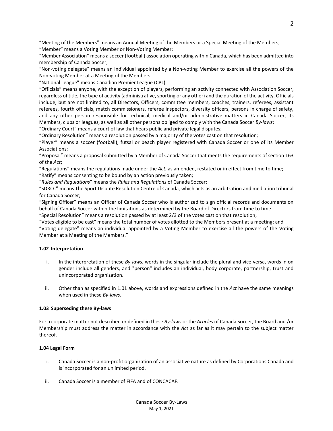"Meeting of the Members" means an Annual Meeting of the Members or a Special Meeting of the Members; "Member" means a Voting Member or Non-Voting Member;

"Member Association" means a soccer (football) association operating within Canada, which has been admitted into membership of Canada Soccer;

"Non-voting delegate" means an individual appointed by a Non-voting Member to exercise all the powers of the Non-voting Member at a Meeting of the Members.

"National League" means Canadian Premier League (CPL)

"Officials" means anyone, with the exception of players, performing an activity connected with Association Soccer, regardless of title, the type of activity (administrative, sporting or any other) and the duration of the activity. Officials include, but are not limited to, all Directors, Officers, committee members, coaches, trainers, referees, assistant referees, fourth officials, match commissioners, referee inspectors, diversity officers, persons in charge of safety, and any other person responsible for technical, medical and/or administrative matters in Canada Soccer, its Members, clubs or leagues, as well as all other persons obliged to comply with the Canada Soccer *By-laws*; "Ordinary Court" means a court of law that hears public and private legal disputes;

"Ordinary Resolution" means a resolution passed by a majority of the votes cast on that resolution;

"Player" means a soccer (football), futsal or beach player registered with Canada Soccer or one of its Member Associations;

"Proposal" means a proposal submitted by a Member of Canada Soccer that meets the requirements of section 163 of the *Act*;

"Regulations" means the regulations made under the *Act*, as amended, restated or in effect from time to time; "Ratify" means consenting to be bound by an action previously taken;

"*Rules and Regulations*" means the *Rules and Regulations* of Canada Soccer;

"SDRCC" means The Sport Dispute Resolution Centre of Canada, which acts as an arbitration and mediation tribunal for Canada Soccer;

"Signing Officer" means an Officer of Canada Soccer who is authorized to sign official records and documents on behalf of Canada Soccer within the limitations as determined by the Board of Directors from time to time.

"Special Resolution" means a resolution passed by at least 2/3 of the votes cast on that resolution;

"Votes eligible to be cast" means the total number of votes allotted to the Members present at a meeting; and "Voting delegate" means an individual appointed by a Voting Member to exercise all the powers of the Voting Member at a Meeting of the Members."

# **1.02 Interpretation**

- i. In the interpretation of these *By-laws*, words in the singular include the plural and vice-versa, words in on gender include all genders, and "person" includes an individual, body corporate, partnership, trust and unincorporated organization.
- ii. Other than as specified in 1.01 above, words and expressions defined in the *Act* have the same meanings when used in these *By-laws*.

# **1.03 Superseding these By-laws**

For a corporate matter not described or defined in these *By-laws* or the *Articles* of Canada Soccer, the Board and /or Membership must address the matter in accordance with the *Act* as far as it may pertain to the subject matter thereof.

# **1.04 Legal Form**

- i. Canada Soccer is a non-profit organization of an associative nature as defined by Corporations Canada and is incorporated for an unlimited period.
- ii. Canada Soccer is a member of FIFA and of CONCACAF.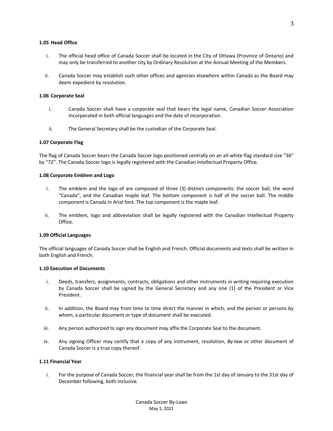#### **1.05 Head Office**

- i. The official head office of Canada Soccer shall be located in the City of Ottawa (Province of Ontario) and may only be transferred to another city by Ordinary Resolution at the Annual Meeting of the Members.
- ii. Canada Soccer may establish such other offices and agencies elsewhere within Canada as the Board may deem expedient by resolution.

#### **1.06 Corporate Seal**

- i. Canada Soccer shall have a corporate seal that bears the legal name, Canadian Soccer Association Incorporated in both official languages and the date of incorporation.
- ii. The General Secretary shall be the custodian of the Corporate Seal.

#### **1.07 Corporate Flag**

The flag of Canada Soccer bears the Canada Soccer logo positioned centrally on an all-white flag standard size "36" by "72". The Canada Soccer logo is legally registered with the Canadian Intellectual Property Office.

#### **1.08 Corporate Emblem and Logo**

- i. The emblem and the logo of are composed of three (3) distinct components: the soccer ball, the word "Canada", and the Canadian maple leaf. The bottom component is half of the soccer ball. The middle component is Canada in Arial font. The top component is the maple leaf.
- ii. The emblem, logo and abbreviation shall be legally registered with the Canadian Intellectual Property Office.

#### **1.09 Official Languages**

The official languages of Canada Soccer shall be English and French. Official documents and texts shall be written in both English and French.

#### **1.10 Execution of Documents**

- i. Deeds, transfers, assignments, contracts, obligations and other instruments in writing requiring execution by Canada Soccer shall be signed by the General Secretary and any one (1) of the President or Vice President.
- ii. In addition, the Board may from time to time direct the manner in which, and the person or persons by whom, a particular document or type of document shall be executed.
- iii. Any person authorized to sign any document may affix the Corporate Seal to the document.
- iv. Any signing Officer may certify that a copy of any instrument, resolution, *By-law* or other document of Canada Soccer is a true copy thereof.

#### **1.11 Financial Year**

i. For the purpose of Canada Soccer, the financial year shall be from the 1st day of January to the 31st day of December following, both inclusive.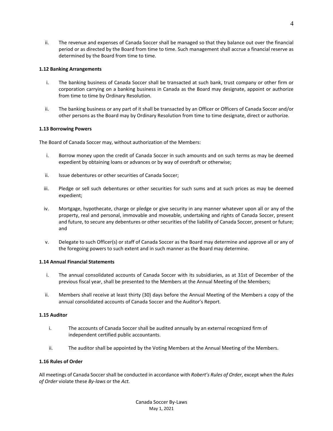ii. The revenue and expenses of Canada Soccer shall be managed so that they balance out over the financial period or as directed by the Board from time to time. Such management shall accrue a financial reserve as determined by the Board from time to time.

## **1.12 Banking Arrangements**

- i. The banking business of Canada Soccer shall be transacted at such bank, trust company or other firm or corporation carrying on a banking business in Canada as the Board may designate, appoint or authorize from time to time by Ordinary Resolution.
- ii. The banking business or any part of it shall be transacted by an Officer or Officers of Canada Soccer and/or other persons as the Board may by Ordinary Resolution from time to time designate, direct or authorize.

## **1.13 Borrowing Powers**

The Board of Canada Soccer may, without authorization of the Members:

- i. Borrow money upon the credit of Canada Soccer in such amounts and on such terms as may be deemed expedient by obtaining loans or advances or by way of overdraft or otherwise;
- ii. Issue debentures or other securities of Canada Soccer;
- iii. Pledge or sell such debentures or other securities for such sums and at such prices as may be deemed expedient;
- iv. Mortgage, hypothecate, charge or pledge or give security in any manner whatever upon all or any of the property, real and personal, immovable and moveable, undertaking and rights of Canada Soccer, present and future, to secure any debentures or other securities of the liability of Canada Soccer, present or future; and
- v. Delegate to such Officer(s) or staff of Canada Soccer as the Board may determine and approve all or any of the foregoing powers to such extent and in such manner as the Board may determine.

#### **1.14 Annual Financial Statements**

- i. The annual consolidated accounts of Canada Soccer with its subsidiaries, as at 31st of December of the previous fiscal year, shall be presented to the Members at the Annual Meeting of the Members;
- ii. Members shall receive at least thirty (30) days before the Annual Meeting of the Members a copy of the annual consolidated accounts of Canada Soccer and the Auditor's Report.

#### **1.15 Auditor**

- i. The accounts of Canada Soccer shall be audited annually by an external recognized firm of independent certified public accountants.
- ii. The auditor shall be appointed by the Voting Members at the Annual Meeting of the Members.

#### **1.16 Rules of Order**

All meetings of Canada Soccer shall be conducted in accordance with *Robert's Rules of Order*, except when the *Rules of Order* violate these *By-laws* or the *Act.*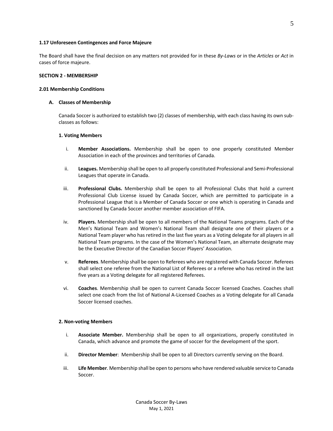#### **1.17 Unforeseen Contingences and Force Majeure**

The Board shall have the final decision on any matters not provided for in these *By-Laws* or in the *Articles* or *Act* in cases of force majeure.

#### **SECTION 2 - MEMBERSHIP**

#### **2.01 Membership Conditions**

#### **A. Classes of Membership**

Canada Soccer is authorized to establish two (2) classes of membership, with each class having its own subclasses as follows:

## **1. Voting Members**

- i. **Member Associations.** Membership shall be open to one properly constituted Member Association in each of the provinces and territories of Canada.
- ii. **Leagues.** Membership shall be open to all properly constituted Professional and Semi-Professional Leagues that operate in Canada.
- iii. **Professional Clubs.** Membership shall be open to all Professional Clubs that hold a current Professional Club License issued by Canada Soccer, which are permitted to participate in a Professional League that is a Member of Canada Soccer or one which is operating in Canada and sanctioned by Canada Soccer another member association of FIFA.
- iv. **Players.** Membership shall be open to all members of the National Teams programs. Each of the Men's National Team and Women's National Team shall designate one of their players or a National Team player who has retired in the last five years as a Voting delegate for all players in all National Team programs. In the case of the Women's National Team, an alternate designate may be the Executive Director of the Canadian Soccer Players' Association.
- v. **Referees**. Membership shall be open to Referees who are registered with Canada Soccer. Referees shall select one referee from the National List of Referees or a referee who has retired in the last five years as a Voting delegate for all registered Referees.
- vi. **Coaches**. Membership shall be open to current Canada Soccer licensed Coaches. Coaches shall select one coach from the list of National A-Licensed Coaches as a Voting delegate for all Canada Soccer licensed coaches.

#### **2. Non-voting Members**

- i. **Associate Member.** Membership shall be open to all organizations, properly constituted in Canada, which advance and promote the game of soccer for the development of the sport.
- ii. **Director Member**: Membership shall be open to all Directors currently serving on the Board.
- iii. **Life Member**. Membership shall be open to persons who have rendered valuable service to Canada Soccer.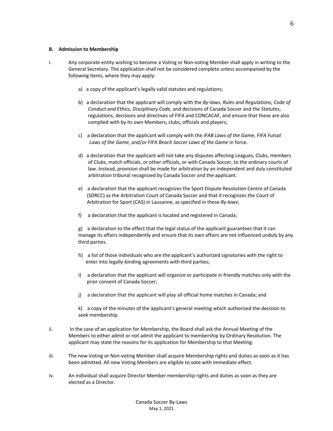#### **B. Admission to Membership**

- i. Any corporate entity wishing to become a Voting or Non-voting Member shall apply in writing to the General Secretary. The application shall not be considered complete unless accompanied by the following items, where they may apply:
	- a) a copy of the applicant's legally valid statutes and regulations;
	- b) a declaration that the applicant will comply with the *By-laws*, *Rules and Regulations, Code of Conduct and Ethics, Disciplinary Code,* and decisions of Canada Soccer and the *Statutes*, regulations, decisions and directives of FIFA and CONCACAF, and ensure that these are also complied with by its own Members, clubs, officials and players;
	- c) a declaration that the applicant will comply with the *IFAB Laws of the Game, FIFA Futsal Laws of the Game*, and/or *FIFA Beach Soccer Laws of the Game* in force.
	- d) a declaration that the applicant will not take any disputes affecting Leagues, Clubs, members of Clubs, match officials, or other officials, or with Canada Soccer, to the ordinary courts of law. Instead, provision shall be made for arbitration by an independent and duly constituted arbitration tribunal recognized by Canada Soccer and the applicant.
	- e) a declaration that the applicant recognizes the Sport Dispute Resolution Centre of Canada (SDRCC) as the Arbitration Court of Canada Soccer and that it recognizes the Court of Arbitration for Sport (CAS) in Lausanne, as specified in these *By-laws*;
	- f) a declaration that the applicant is located and registered in Canada;

g) a declaration to the effect that the legal status of the applicant guarantees that it can manage its affairs independently and ensure that its own affairs are not influenced unduly by any third parties.

- h) a list of those individuals who are the applicant's authorized signatories with the right to enter into legally-binding agreements with third parties;
- i) a declaration that the applicant will organize or participate in friendly matches only with the prior consent of Canada Soccer;
- j) a declaration that the applicant will play all official home matches in Canada; and

k) a copy of the minutes of the applicant's general meeting which authorized the decision to seek membership.

- ii. In the case of an application for Membership, the Board shall ask the Annual Meeting of the Members to either admit or not admit the applicant to membership by Ordinary Resolution. The applicant may state the reasons for its application for Membership to that Meeting.
- iii. The new Voting or Non-voting Member shall acquire Membership rights and duties as soon as it has been admitted. All new Voting Members are eligible to vote with immediate effect.
- iv. An individual shall acquire Director Member membership rights and duties as soon as they are elected as a Director.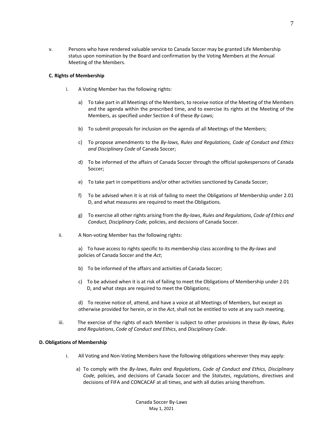v. Persons who have rendered valuable service to Canada Soccer may be granted Life Membership status upon nomination by the Board and confirmation by the Voting Members at the Annual Meeting of the Members.

#### **C. Rights of Membership**

- i. A Voting Member has the following rights:
	- a) To take part in all Meetings of the Members, to receive notice of the Meeting of the Members and the agenda within the prescribed time, and to exercise its rights at the Meeting of the Members, as specified under Section 4 of these *By-Laws*;
	- b) To submit proposals for inclusion on the agenda of all Meetings of the Members;
	- c) To propose amendments to the *By-laws, Rules and Regulations, Code of Conduct and Ethics and Disciplinary Code* of Canada Soccer;
	- d) To be informed of the affairs of Canada Soccer through the official spokespersons of Canada Soccer;
	- e) To take part in competitions and/or other activities sanctioned by Canada Soccer;
	- f) To be advised when it is at risk of failing to meet the Obligations of Membership under 2.01 D, and what measures are required to meet the Obligations.
	- g) To exercise all other rights arising from the *By-laws*, *Rules and Regulations*, *Code of Ethics and Conduct, Disciplinary Code,* policies, and decisions of Canada Soccer.
- ii. A Non-voting Member has the following rights:

a) To have access to rights specific to its membership class according to the *By-laws* and policies of Canada Soccer and the *Act*;

- b) To be informed of the affairs and activities of Canada Soccer;
- c) To be advised when it is at risk of failing to meet the Obligations of Membership under 2.01 D, and what steps are required to meet the Obligations;

d) To receive notice of, attend, and have a voice at all Meetings of Members, but except as otherwise provided for herein, or in the *Act*, shall not be entitled to vote at any such meeting.

iii. The exercise of the rights of each Member is subject to other provisions in these *By-laws*, *Rules and Regulations*, *Code of Conduct and Ethics*, and *Disciplinary Code*.

#### **D. Obligations of Membership**

- i. All Voting and Non-Voting Members have the following obligations wherever they may apply:
	- a) To comply with the *By-laws*, *Rules and Regulations*, *Code of Conduct and Ethics, Disciplinary Code,* policies, and decisions of Canada Soccer and the *Statutes*, regulations, directives and decisions of FIFA and CONCACAF at all times, and with all duties arising therefrom.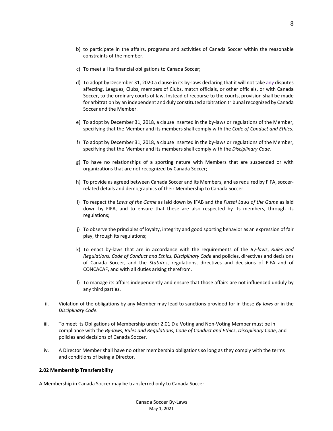- b) to participate in the affairs, programs and activities of Canada Soccer within the reasonable constraints of the member;
- c) To meet all its financial obligations to Canada Soccer;
- d) To adopt by December 31, 2020 a clause in its by-laws declaring that it will not take any disputes affecting, Leagues, Clubs, members of Clubs, match officials, or other officials, or with Canada Soccer, to the ordinary courts of law. Instead of recourse to the courts, provision shall be made for arbitration by an independent and duly constituted arbitration tribunal recognized by Canada Soccer and the Member.
- e) To adopt by December 31, 2018, a clause inserted in the by-laws or regulations of the Member, specifying that the Member and its members shall comply with the *Code of Conduct and Ethics.*
- f) To adopt by December 31, 2018, a clause inserted in the by-laws or regulations of the Member, specifying that the Member and its members shall comply with the *Disciplinary Code.*
- g) To have no relationships of a sporting nature with Members that are suspended or with organizations that are not recognized by Canada Soccer;
- h) To provide as agreed between Canada Soccer and its Members, and as required by FIFA, soccerrelated details and demographics of their Membership to Canada Soccer.
- i) To respect the *Laws of the Game* as laid down by IFAB and the *Futsal Laws of the Game* as laid down by FIFA, and to ensure that these are also respected by its members, through its regulations;
- j) To observe the principles of loyalty, integrity and good sporting behavior as an expression of fair play, through its regulations;
- k) To enact by-laws that are in accordance with the requirements of the *By-laws*, *Rules and Regulations, Code of Conduct and Ethics, Disciplinary Code* and policies, directives and decisions of Canada Soccer, and the *Statutes*, regulations, directives and decisions of FIFA and of CONCACAF, and with all duties arising therefrom.
- l) To manage its affairs independently and ensure that those affairs are not influenced unduly by any third parties.
- ii. Violation of the obligations by any Member may lead to sanctions provided for in these *By-laws* or in the *Disciplinary Code.*
- iii. To meet its Obligations of Membership under 2.01 D a Voting and Non-Voting Member must be in compliance with the *By-laws*, *Rules and Regulations*, *Code of Conduct and Ethics*, *Disciplinary Code*, and policies and decisions of Canada Soccer.
- iv. A Director Member shall have no other membership obligations so long as they comply with the terms and conditions of being a Director.

# **2.02 Membership Transferability**

A Membership in Canada Soccer may be transferred only to Canada Soccer.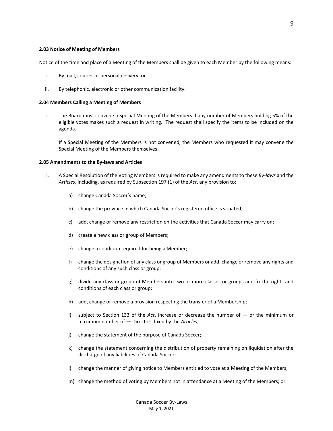Notice of the time and place of a Meeting of the Members shall be given to each Member by the following means:

- i. By mail, courier or personal delivery; or
- ii. By telephonic, electronic or other communication facility.

#### **2.04 Members Calling a Meeting of Members**

i. The Board must convene a Special Meeting of the Members if any number of Members holding 5% of the eligible votes makes such a request in writing. The request shall specify the items to be included on the agenda.

If a Special Meeting of the Members is not convened, the Members who requested it may convene the Special Meeting of the Members themselves.

#### **2.05 Amendments to the By-laws and Articles**

- i. A Special Resolution of the Voting Members is required to make any amendments to these *By-laws* and the *Articles*, including, as required by Subsection 197 (1) of the *Act*, any provision to:
	- a) change Canada Soccer's name;
	- b) change the province in which Canada Soccer's registered office is situated;
	- c) add, change or remove any restriction on the activities that Canada Soccer may carry on;
	- d) create a new class or group of Members;
	- e) change a condition required for being a Member;
	- f) change the designation of any class or group of Members or add, change or remove any rights and conditions of any such class or group;
	- g) divide any class or group of Members into two or more classes or groups and fix the rights and conditions of each class or group;
	- h) add, change or remove a provision respecting the transfer of a Membership;
	- i) subject to Section 133 of the *Act*, increase or decrease the number of or the minimum or maximum number of — Directors fixed by the *Articles*;
	- j) change the statement of the purpose of Canada Soccer;
	- k) change the statement concerning the distribution of property remaining on liquidation after the discharge of any liabilities of Canada Soccer;
	- l) change the manner of giving notice to Members entitled to vote at a Meeting of the Members;
	- m) change the method of voting by Members not in attendance at a Meeting of the Members; or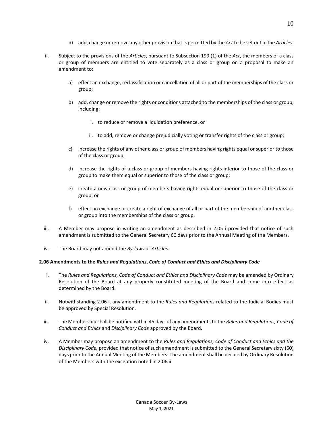- n) add, change or remove any other provision that is permitted by the *Act* to be set out in the *Articles*.
- ii. Subject to the provisions of the *Articles*, pursuant to Subsection 199 (1) of the *Act*, the members of a class or group of members are entitled to vote separately as a class or group on a proposal to make an amendment to:
	- a) effect an exchange, reclassification or cancellation of all or part of the memberships of the class or group;
	- b) add, change or remove the rights or conditions attached to the memberships of the class or group, including:
		- i. to reduce or remove a liquidation preference, or
		- ii. to add, remove or change prejudicially voting or transfer rights of the class or group;
	- c) increase the rights of any other class or group of members having rights equal or superior to those of the class or group;
	- d) increase the rights of a class or group of members having rights inferior to those of the class or group to make them equal or superior to those of the class or group;
	- e) create a new class or group of members having rights equal or superior to those of the class or group; or
	- f) effect an exchange or create a right of exchange of all or part of the membership of another class or group into the memberships of the class or group.
- iii. A Member may propose in writing an amendment as described in 2.05 i provided that notice of such amendment is submitted to the General Secretary 60 days prior to the Annual Meeting of the Members.
- iv. The Board may not amend the *By-laws* or *Articles*.

#### **2.06 Amendments to the** *Rules and Regulations***,** *Code of Conduct and Ethics and Disciplinary Code*

- i. The *Rules and Regulations, Code of Conduct and Ethics and Disciplinary Code* may be amended by Ordinary Resolution of the Board at any properly constituted meeting of the Board and come into effect as determined by the Board.
- ii. Notwithstanding 2.06 i, any amendment to the *Rules and Regulations* related to the Judicial Bodies must be approved by Special Resolution.
- iii. The Membership shall be notified within 45 days of any amendments to the *Rules and Regulations, Code of Conduct and Ethics* and *Disciplinary Code* approved by the Board.
- iv. A Member may propose an amendment to the *Rules and Regulations, Code of Conduct and Ethics and the Disciplinary Code,* provided that notice of such amendment is submitted to the General Secretary sixty (60) days prior to the Annual Meeting of the Members. The amendment shall be decided by Ordinary Resolution of the Members with the exception noted in 2.06 ii.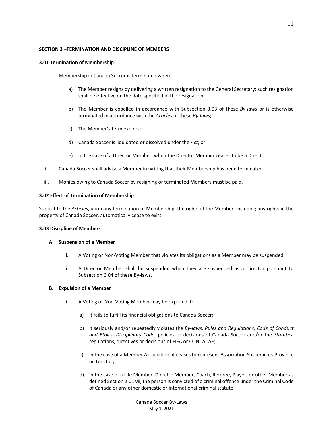#### **SECTION 3 –TERMINATION AND DISCIPLINE OF MEMBERS**

## **3.01 Termination of Membership**

- i. Membership in Canada Soccer is terminated when:
	- a) The Member resigns by delivering a written resignation to the General Secretary; such resignation shall be effective on the date specified in the resignation;
	- b) The Member is expelled in accordance with Subsection 3.03 of these *By-laws* or is otherwise terminated in accordance with the *Articles* or these *By-laws*;
	- c) The Member's term expires;
	- d) Canada Soccer is liquidated or dissolved under the *Act*; or
	- e) In the case of a Director Member, when the Director Member ceases to be a Director.
- ii. Canada Soccer shall advise a Member in writing that their Membership has been terminated.
- iii. Monies owing to Canada Soccer by resigning or terminated Members must be paid.

## **3.02 Effect of Termination of Membership**

Subject to the *Articles*, upon any termination of Membership, the rights of the Member, including any rights in the property of Canada Soccer, automatically cease to exist.

#### **3.03 Discipline of Members**

#### **A. Suspension of a Member**

- i. A Voting or Non-Voting Member that violates its obligations as a Member may be suspended.
- ii. A Director Member shall be suspended when they are suspended as a Director pursuant to Subsection 6.04 of these By-laws.

#### **B. Expulsion of a Member**

- i. A Voting or Non-Voting Member may be expelled if:
	- a) it fails to fulfill its financial obligations to Canada Soccer;
	- b) it seriously and/or repeatedly violates the *By-laws*, *Rules and Regulations*, *Code of Conduct and Ethics, Disciplinary Code*, policies or decisions of Canada Soccer and/or the *Statutes*, regulations, directives or decisions of FIFA or CONCACAF;
	- c) in the case of a Member Association, it ceases to represent Association Soccer in its Province or Territory;
	- d) in the case of a Life Member, Director Member, Coach, Referee, Player, or other Member as defined Section 2.01 vii, the person is convicted of a criminal offence under the Criminal Code of Canada or any other domestic or international criminal statute.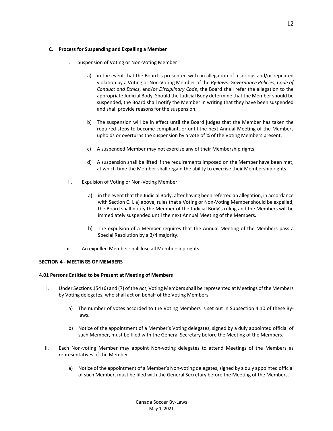## **C. Process for Suspending and Expelling a Member**

- i. Suspension of Voting or Non-Voting Member
	- a) in the event that the Board is presented with an allegation of a serious and/or repeated violation by a Voting or Non-Voting Member of the *By-laws,* G*overnance Policies*, *Code of Conduct and Ethics*, and/or *Disciplinary Code*, the Board shall refer the allegation to the appropriate Judicial Body. Should the Judicial Body determine that the Member should be suspended, the Board shall notify the Member in writing that they have been suspended and shall provide reasons for the suspension.
	- b) The suspension will be in effect until the Board judges that the Member has taken the required steps to become compliant, or until the next Annual Meeting of the Members upholds or overturns the suspension by a vote of ¾ of the Voting Members present.
	- c) A suspended Member may not exercise any of their Membership rights.
	- d) A suspension shall be lifted if the requirements imposed on the Member have been met, at which time the Member shall regain the ability to exercise their Membership rights.
- ii. Expulsion of Voting or Non-Voting Member
	- a) in the event that the Judicial Body, after having been referred an allegation, in accordance with Section C. i. a) above, rules that a Voting or Non-Voting Member should be expelled, the Board shall notify the Member of the Judicial Body's ruling and the Members will be immediately suspended until the next Annual Meeting of the Members.
	- b) The expulsion of a Member requires that the Annual Meeting of the Members pass a Special Resolution by a 3/4 majority.
- iii. An expelled Member shall lose all Membership rights.

#### **SECTION 4 - MEETINGS OF MEMBERS**

#### **4.01 Persons Entitled to be Present at Meeting of Members**

- i. Under Sections 154 (6) and (7) of the *Act*, Voting Membersshall be represented at Meetings of the Members by Voting delegates, who shall act on behalf of the Voting Members.
	- a) The number of votes accorded to the Voting Members is set out in Subsection 4.10 of these Bylaws.
	- b) Notice of the appointment of a Member's Voting delegates, signed by a duly appointed official of such Member, must be filed with the General Secretary before the Meeting of the Members.
- ii. Each Non-voting Member may appoint Non-voting delegates to attend Meetings of the Members as representatives of the Member.
	- a) Notice of the appointment of a Member's Non-voting delegates, signed by a duly appointed official of such Member, must be filed with the General Secretary before the Meeting of the Members.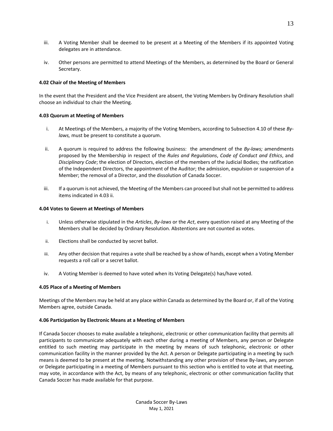- iii. A Voting Member shall be deemed to be present at a Meeting of the Members if its appointed Voting delegates are in attendance.
- iv. Other persons are permitted to attend Meetings of the Members, as determined by the Board or General Secretary.

## **4.02 Chair of the Meeting of Members**

In the event that the President and the Vice President are absent, the Voting Members by Ordinary Resolution shall choose an individual to chair the Meeting.

## **4.03 Quorum at Meeting of Members**

- i. At Meetings of the Members, a majority of the Voting Members, according to Subsection 4.10 of these *Bylaws,* must be present to constitute a quorum.
- ii. A quorum is required to address the following business: the amendment of the *By-laws;* amendments proposed by the Membership in respect of the *Rules and Regulations*, *Code of Conduct and Ethics*, and *Disciplinary Code*; the election of Directors, election of the members of the Judicial Bodies; the ratification of the Independent Directors, the appointment of the Auditor; the admission, expulsion or suspension of a Member; the removal of a Director, and the dissolution of Canada Soccer.
- iii. If a quorum is not achieved, the Meeting of the Members can proceed but shall not be permitted to address items indicated in 4.03 ii.

## **4.04 Votes to Govern at Meetings of Members**

- i. Unless otherwise stipulated in the *Articles*, *By-laws* or the *Act*, every question raised at any Meeting of the Members shall be decided by Ordinary Resolution. Abstentions are not counted as votes.
- ii. Elections shall be conducted by secret ballot.
- iii. Any other decision that requires a vote shall be reached by a show of hands, except when a Voting Member requests a roll call or a secret ballot.
- iv. A Voting Member is deemed to have voted when its Voting Delegate(s) has/have voted.

# **4.05 Place of a Meeting of Members**

Meetings of the Members may be held at any place within Canada as determined by the Board or, if all of the Voting Members agree, outside Canada.

# **4.06 Participation by Electronic Means at a Meeting of Members**

If Canada Soccer chooses to make available a telephonic, electronic or other communication facility that permits all participants to communicate adequately with each other during a meeting of Members, any person or Delegate entitled to such meeting may participate in the meeting by means of such telephonic, electronic or other communication facility in the manner provided by the Act. A person or Delegate participating in a meeting by such means is deemed to be present at the meeting. Notwithstanding any other provision of these By-laws, any person or Delegate participating in a meeting of Members pursuant to this section who is entitled to vote at that meeting, may vote, in accordance with the Act, by means of any telephonic, electronic or other communication facility that Canada Soccer has made available for that purpose.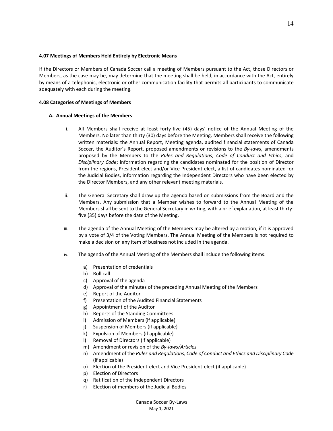#### **4.07 Meetings of Members Held Entirely by Electronic Means**

If the Directors or Members of Canada Soccer call a meeting of Members pursuant to the Act, those Directors or Members, as the case may be, may determine that the meeting shall be held, in accordance with the Act, entirely by means of a telephonic, electronic or other communication facility that permits all participants to communicate adequately with each during the meeting.

## **4.08 Categories of Meetings of Members**

## **A. Annual Meetings of the Members**

- i. All Members shall receive at least forty-five (45) days' notice of the Annual Meeting of the Members. No later than thirty (30) days before the Meeting, Members shall receive the following written materials: the Annual Report, Meeting agenda, audited financial statements of Canada Soccer, the Auditor's Report, proposed amendments or revisions to the *By-laws*, amendments proposed by the Members to the *Rules and Regulations*, *Code of Conduct and Ethics*, and *Disciplinary Code*; information regarding the candidates nominated for the position of Director from the regions, President-elect and/or Vice President-elect, a list of candidates nominated for the Judicial Bodies, information regarding the Independent Directors who have been elected by the Director Members, and any other relevant meeting materials.
- ii. The General Secretary shall draw up the agenda based on submissions from the Board and the Members. Any submission that a Member wishes to forward to the Annual Meeting of the Members shall be sent to the General Secretary in writing, with a brief explanation, at least thirtyfive (35) days before the date of the Meeting.
- iii. The agenda of the Annual Meeting of the Members may be altered by a motion, if it is approved by a vote of 3/4 of the Voting Members. The Annual Meeting of the Members is not required to make a decision on any item of business not included in the agenda.
- iv. The agenda of the Annual Meeting of the Members shall include the following items:
	- a) Presentation of credentials
	- b) Roll call
	- c) Approval of the agenda
	- d) Approval of the minutes of the preceding Annual Meeting of the Members
	- e) Report of the Auditor
	- f) Presentation of the Audited Financial Statements
	- g) Appointment of the Auditor
	- h) Reports of the Standing Committees
	- i) Admission of Members (if applicable)
	- j) Suspension of Members (if applicable)
	- k) Expulsion of Members (if applicable)
	- l) Removal of Directors (if applicable)
	- m) Amendment or revision of the *By-laws/Articles*
	- n) Amendment of the *Rules and Regulations, Code of Conduct and Ethics and Disciplinary Code* (if applicable)
	- o) Election of the President-elect and Vice President-elect (if applicable)
	- p) Election of Directors
	- q) Ratification of the Independent Directors
	- r) Election of members of the Judicial Bodies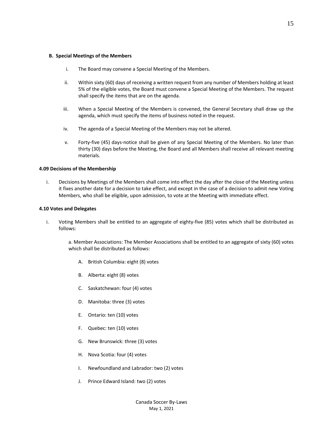#### **B. Special Meetings of the Members**

- i. The Board may convene a Special Meeting of the Members.
- ii. Within sixty (60) days of receiving a written request from any number of Members holding at least 5% of the eligible votes, the Board must convene a Special Meeting of the Members. The request shall specify the items that are on the agenda.
- iii. When a Special Meeting of the Members is convened, the General Secretary shall draw up the agenda, which must specify the items of business noted in the request.
- iv. The agenda of a Special Meeting of the Members may not be altered.
- v. Forty-five (45) days-notice shall be given of any Special Meeting of the Members. No later than thirty (30) days before the Meeting, the Board and all Members shall receive all relevant meeting materials.

## **4.09 Decisions of the Membership**

i. Decisions by Meetings of the Members shall come into effect the day after the close of the Meeting unless it fixes another date for a decision to take effect, and except in the case of a decision to admit new Voting Members, who shall be eligible, upon admission, to vote at the Meeting with immediate effect.

#### **4.10 Votes and Delegates**

- i. Voting Members shall be entitled to an aggregate of eighty-five (85) votes which shall be distributed as follows:
	- a. Member Associations: The Member Associations shall be entitled to an aggregate of sixty (60) votes which shall be distributed as follows:
		- A. British Columbia: eight (8) votes
		- B. Alberta: eight (8) votes
		- C. Saskatchewan: four (4) votes
		- D. Manitoba: three (3) votes
		- E. Ontario: ten (10) votes
		- F. Quebec: ten (10) votes
		- G. New Brunswick: three (3) votes
		- H. Nova Scotia: four (4) votes
		- I. Newfoundland and Labrador: two (2) votes
		- J. Prince Edward Island: two (2) votes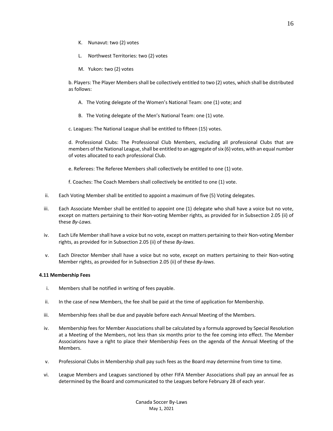- K. Nunavut: two (2) votes
- L. Northwest Territories: two (2) votes
- M. Yukon: two (2) votes

b. Players: The Player Members shall be collectively entitled to two (2) votes, which shall be distributed as follows:

- A. The Voting delegate of the Women's National Team: one (1) vote; and
- B. The Voting delegate of the Men's National Team: one (1) vote.

c. Leagues: The National League shall be entitled to fifteen (15) votes.

d. Professional Clubs: The Professional Club Members, excluding all professional Clubs that are members of the National League, shall be entitled to an aggregate of six (6) votes, with an equal number of votes allocated to each professional Club.

e. Referees: The Referee Members shall collectively be entitled to one (1) vote.

f. Coaches: The Coach Members shall collectively be entitled to one (1) vote.

- ii. Each Voting Member shall be entitled to appoint a maximum of five (5) Voting delegates.
- iii. Each Associate Member shall be entitled to appoint one (1) delegate who shall have a voice but no vote, except on matters pertaining to their Non-voting Member rights, as provided for in Subsection 2.05 (ii) of these *By-Laws.*
- iv. Each Life Member shall have a voice but no vote, except on matters pertaining to their Non-voting Member rights, as provided for in Subsection 2.05 (ii) of these *By-laws*.
- v. Each Director Member shall have a voice but no vote, except on matters pertaining to their Non-voting Member rights, as provided for in Subsection 2.05 (ii) of these *By-laws*.

#### **4.11 Membership Fees**

- i. Members shall be notified in writing of fees payable.
- ii. In the case of new Members, the fee shall be paid at the time of application for Membership.
- iii. Membership fees shall be due and payable before each Annual Meeting of the Members.
- iv. Membership fees for Member Associations shall be calculated by a formula approved by Special Resolution at a Meeting of the Members, not less than six months prior to the fee coming into effect. The Member Associations have a right to place their Membership Fees on the agenda of the Annual Meeting of the Members.
- v. Professional Clubs in Membership shall pay such fees as the Board may determine from time to time.
- vi. League Members and Leagues sanctioned by other FIFA Member Associations shall pay an annual fee as determined by the Board and communicated to the Leagues before February 28 of each year.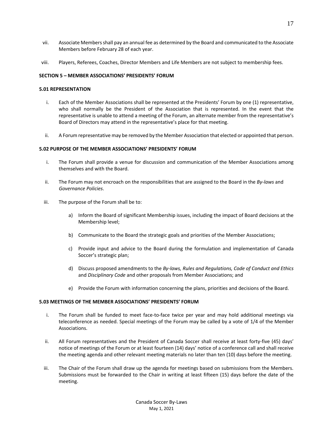- vii. Associate Members shall pay an annual fee as determined by the Board and communicated to the Associate Members before February 28 of each year.
- viii. Players, Referees, Coaches, Director Members and Life Members are not subject to membership fees.

## **SECTION 5 – MEMBER ASSOCIATIONS' PRESIDENTS' FORUM**

## **5.01 REPRESENTATION**

- i. Each of the Member Associations shall be represented at the Presidents' Forum by one (1) representative, who shall normally be the President of the Association that is represented. In the event that the representative is unable to attend a meeting of the Forum, an alternate member from the representative's Board of Directors may attend in the representative's place for that meeting.
- ii. A Forum representative may be removed by the Member Association that elected or appointed that person.

## **5.02 PURPOSE OF THE MEMBER ASSOCIATIONS' PRESIDENTS' FORUM**

- i. The Forum shall provide a venue for discussion and communication of the Member Associations among themselves and with the Board.
- ii. The Forum may not encroach on the responsibilities that are assigned to the Board in the *By-laws* and *Governance Policies*.
- iii. The purpose of the Forum shall be to:
	- a) Inform the Board of significant Membership issues, including the impact of Board decisions at the Membership level;
	- b) Communicate to the Board the strategic goals and priorities of the Member Associations;
	- c) Provide input and advice to the Board during the formulation and implementation of Canada Soccer's strategic plan;
	- d) Discuss proposed amendments to the *By-laws, Rules and Regulations, Code of Conduct and Ethics*  and *Disciplinary Code* and other proposals from Member Associations; and
	- e) Provide the Forum with information concerning the plans, priorities and decisions of the Board.

#### **5.03 MEETINGS OF THE MEMBER ASSOCIATIONS' PRESIDENTS' FORUM**

- i. The Forum shall be funded to meet face-to-face twice per year and may hold additional meetings via teleconference as needed. Special meetings of the Forum may be called by a vote of 1/4 of the Member Associations.
- ii. All Forum representatives and the President of Canada Soccer shall receive at least forty-five (45) days' notice of meetings of the Forum or at least fourteen (14) days' notice of a conference call and shall receive the meeting agenda and other relevant meeting materials no later than ten (10) days before the meeting.
- iii. The Chair of the Forum shall draw up the agenda for meetings based on submissions from the Members. Submissions must be forwarded to the Chair in writing at least fifteen (15) days before the date of the meeting.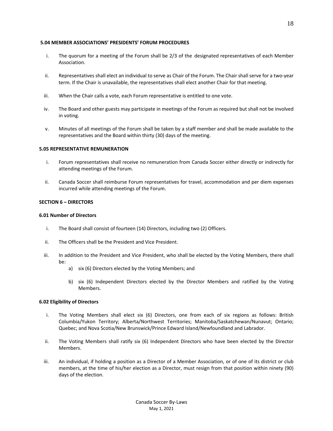#### **5.04 MEMBER ASSOCIATIONS' PRESIDENTS' FORUM PROCEDURES**

- i. The quorum for a meeting of the Forum shall be 2/3 of the designated representatives of each Member Association.
- ii. Representatives shall elect an individual to serve as Chair of the Forum. The Chair shall serve for a two-year term. If the Chair is unavailable, the representatives shall elect another Chair for that meeting.
- iii. When the Chair calls a vote, each Forum representative is entitled to one vote.
- iv. The Board and other guests may participate in meetings of the Forum as required but shall not be involved in voting.
- v. Minutes of all meetings of the Forum shall be taken by a staff member and shall be made available to the representatives and the Board within thirty (30) days of the meeting.

## **5.05 REPRESENTATIVE REMUNERATION**

- i. Forum representatives shall receive no remuneration from Canada Soccer either directly or indirectly for attending meetings of the Forum.
- ii. Canada Soccer shall reimburse Forum representatives for travel, accommodation and per diem expenses incurred while attending meetings of the Forum.

## **SECTION 6 – DIRECTORS**

#### **6.01 Number of Directors**

- i. The Board shall consist of fourteen (14) Directors, including two (2) Officers.
- ii. The Officers shall be the President and Vice President.
- iii. In addition to the President and Vice President, who shall be elected by the Voting Members, there shall be:
	- a) six (6) Directors elected by the Voting Members; and
	- b) six (6) Independent Directors elected by the Director Members and ratified by the Voting Members.

#### **6.02 Eligibility of Directors**

- i. The Voting Members shall elect six (6) Directors, one from each of six regions as follows: British Columbia/Yukon Territory; Alberta/Northwest Territories; Manitoba/Saskatchewan/Nunavut; Ontario; Quebec; and Nova Scotia/New Brunswick/Prince Edward Island/Newfoundland and Labrador.
- ii. The Voting Members shall ratify six (6) Independent Directors who have been elected by the Director Members.
- iii. An individual, if holding a position as a Director of a Member Association, or of one of its district or club members, at the time of his/her election as a Director, must resign from that position within ninety (90) days of the election.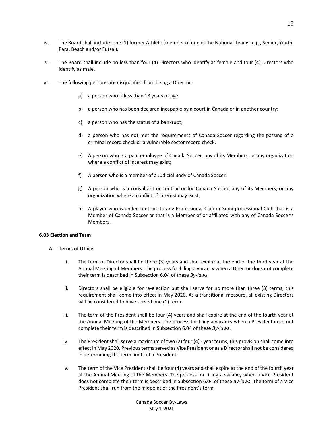- iv. The Board shall include: one (1) former Athlete (member of one of the National Teams; e.g., Senior, Youth, Para, Beach and/or Futsal).
- v. The Board shall include no less than four (4) Directors who identify as female and four (4) Directors who identify as male.
- vi. The following persons are disqualified from being a Director:
	- a) a person who is less than 18 years of age;
	- b) a person who has been declared incapable by a court in Canada or in another country;
	- c) a person who has the status of a bankrupt;
	- d) a person who has not met the requirements of Canada Soccer regarding the passing of a criminal record check or a vulnerable sector record check;
	- e) A person who is a paid employee of Canada Soccer, any of its Members, or any organization where a conflict of interest may exist;
	- f) A person who is a member of a Judicial Body of Canada Soccer.
	- g) A person who is a consultant or contractor for Canada Soccer, any of its Members, or any organization where a conflict of interest may exist;
	- h) A player who is under contract to any Professional Club or Semi-professional Club that is a Member of Canada Soccer or that is a Member of or affiliated with any of Canada Soccer's Members.

#### **6.03 Election and Term**

# **A. Terms of Office**

- i. The term of Director shall be three (3) years and shall expire at the end of the third year at the Annual Meeting of Members. The process for filling a vacancy when a Director does not complete their term is described in Subsection 6.04 of these *By-laws*.
- ii. Directors shall be eligible for re-election but shall serve for no more than three (3) terms; this requirement shall come into effect in May 2020. As a transitional measure, all existing Directors will be considered to have served one (1) term.
- iii. The term of the President shall be four (4) years and shall expire at the end of the fourth year at the Annual Meeting of the Members. The process for filing a vacancy when a President does not complete their term is described in Subsection 6.04 of these *By-laws*.
- iv. The President shall serve a maximum of two (2) four (4) year terms; this provision shall come into effect in May 2020. Previous terms served as Vice President or as a Director shall not be considered in determining the term limits of a President.
- v. The term of the Vice President shall be four (4) years and shall expire at the end of the fourth year at the Annual Meeting of the Members. The process for filling a vacancy when a Vice President does not complete their term is described in Subsection 6.04 of these *By-laws*. The term of a Vice President shall run from the midpoint of the President's term.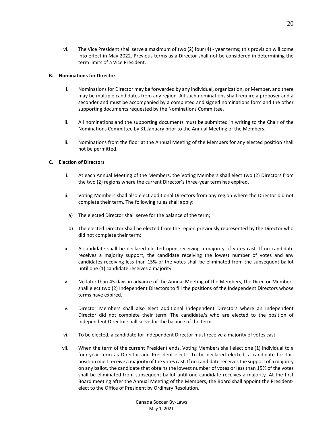vi. The Vice President shall serve a maximum of two (2) four (4) - year terms; this provision will come into effect in May 2022. Previous terms as a Director shall not be considered in determining the term limits of a Vice President.

## **B. Nominations for Director**

- i. Nominations for Director may be forwarded by any individual, organization, or Member, and there may be multiple candidates from any region. All such nominations shall require a proposer and a seconder and must be accompanied by a completed and signed nominations form and the other supporting documents requested by the Nominations Committee.
- ii. All nominations and the supporting documents must be submitted in writing to the Chair of the Nominations Committee by 31 January prior to the Annual Meeting of the Members.
- iii. Nominations from the floor at the Annual Meeting of the Members for any elected position shall not be permitted.

## **C. Election of Directors**

- i. At each Annual Meeting of the Members, the Voting Members shall elect two (2) Directors from the two (2) regions where the current Director's three-year term has expired.
- ii. Voting Members shall also elect additional Directors from any region where the Director did not complete their term. The following rules shall apply:
- a) The elected Director shall serve for the balance of the term;
- b) The elected Director shall be elected from the region previously represented by the Director who did not complete their term;
- iii. A candidate shall be declared elected upon receiving a majority of votes cast. If no candidate receives a majority support, the candidate receiving the lowest number of votes and any candidates receiving less than 15% of the votes shall be eliminated from the subsequent ballot until one (1) candidate receives a majority.
- iv. No later than 45 days in advance of the Annual Meeting of the Members, the Director Members shall elect two (2) Independent Directors to fill the positions of the Independent Directors whose terms have expired.
- v. Director Members shall also elect additional Independent Directors where an Independent Director did not complete their term. The candidate/s who are elected to the position of Independent Director shall serve for the balance of the term.
- vi. To be elected, a candidate for Independent Director must receive a majority of votes cast.
- vii. When the term of the current President ends, Voting Members shall elect one (1) individual to a four-year term as Director and President-elect. To be declared elected, a candidate for this position must receive a majority of the votes cast. If no candidate receives the support of a majority on any ballot, the candidate that obtains the lowest number of votes or less than 15% of the votes shall be eliminated from subsequent ballot until one candidate receives a majority. At the first Board meeting after the Annual Meeting of the Members, the Board shall appoint the Presidentelect to the Office of President by Ordinary Resolution.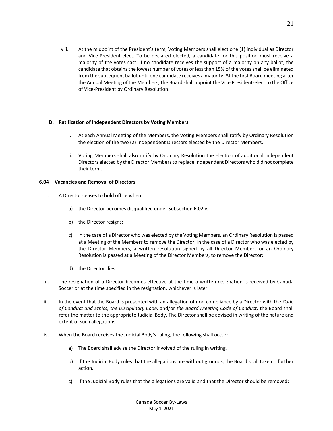viii. At the midpoint of the President's term, Voting Members shall elect one (1) individual as Director and Vice-President-elect. To be declared elected, a candidate for this position must receive a majority of the votes cast. If no candidate receives the support of a majority on any ballot, the candidate that obtains the lowest number of votes or less than 15% of the votes shall be eliminated from the subsequent ballot until one candidate receives a majority. At the first Board meeting after the Annual Meeting of the Members, the Board shall appoint the Vice President-elect to the Office of Vice-President by Ordinary Resolution.

## **D. Ratification of Independent Directors by Voting Members**

- i. At each Annual Meeting of the Members, the Voting Members shall ratify by Ordinary Resolution the election of the two (2) Independent Directors elected by the Director Members.
- ii. Voting Members shall also ratify by Ordinary Resolution the election of additional Independent Directors elected by the Director Members to replace Independent Directors who did not complete their term.

## **6.04 Vacancies and Removal of Directors**

- i. A Director ceases to hold office when:
	- a) the Director becomes disqualified under Subsection 6.02 v;
	- b) the Director resigns;
	- c) in the case of a Director who was elected by the Voting Members, an Ordinary Resolution is passed at a Meeting of the Members to remove the Director; in the case of a Director who was elected by the Director Members, a written resolution signed by all Director Members or an Ordinary Resolution is passed at a Meeting of the Director Members, to remove the Director;
	- d) the Director dies.
- ii. The resignation of a Director becomes effective at the time a written resignation is received by Canada Soccer or at the time specified in the resignation, whichever is later.
- iii. In the event that the Board is presented with an allegation of non-compliance by a Director with the *Code of Conduct and Ethics, the Disciplinary Code,* and/or *the Board Meeting Code of Conduct,* the Board shall refer the matter to the appropriate Judicial Body. The Director shall be advised in writing of the nature and extent of such allegations.
- iv. When the Board receives the Judicial Body's ruling, the following shall occur:
	- a) The Board shall advise the Director involved of the ruling in writing.
	- b) If the Judicial Body rules that the allegations are without grounds, the Board shall take no further action.
	- c) If the Judicial Body rules that the allegations are valid and that the Director should be removed: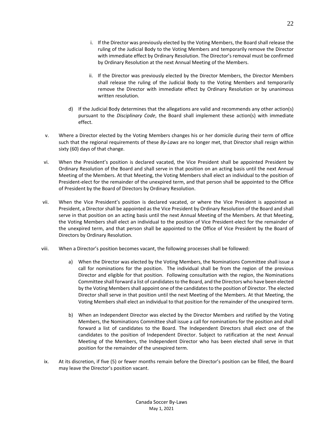- i. If the Director was previously elected by the Voting Members, the Board shall release the ruling of the Judicial Body to the Voting Members and temporarily remove the Director with immediate effect by Ordinary Resolution. The Director's removal must be confirmed by Ordinary Resolution at the next Annual Meeting of the Members.
- ii. If the Director was previously elected by the Director Members, the Director Members shall release the ruling of the Judicial Body to the Voting Members and temporarily remove the Director with immediate effect by Ordinary Resolution or by unanimous written resolution.
- d) If the Judicial Body determines that the allegations are valid and recommends any other action(s) pursuant to the *Disciplinary Code*, the Board shall implement these action(s) with immediate effect.
- v. Where a Director elected by the Voting Members changes his or her domicile during their term of office such that the regional requirements of these *By-Laws* are no longer met, that Director shall resign within sixty (60) days of that change.
- vi. When the President's position is declared vacated, the Vice President shall be appointed President by Ordinary Resolution of the Board and shall serve in that position on an acting basis until the next Annual Meeting of the Members. At that Meeting, the Voting Members shall elect an individual to the position of President-elect for the remainder of the unexpired term, and that person shall be appointed to the Office of President by the Board of Directors by Ordinary Resolution.
- vii. When the Vice President's position is declared vacated, or where the Vice President is appointed as President, a Director shall be appointed as the Vice President by Ordinary Resolution of the Board and shall serve in that position on an acting basis until the next Annual Meeting of the Members. At that Meeting, the Voting Members shall elect an individual to the position of Vice President-elect for the remainder of the unexpired term, and that person shall be appointed to the Office of Vice President by the Board of Directors by Ordinary Resolution.
- viii. When a Director's position becomes vacant, the following processes shall be followed:
	- a) When the Director was elected by the Voting Members, the Nominations Committee shall issue a call for nominations for the position. The individual shall be from the region of the previous Director and eligible for that position. Following consultation with the region, the Nominations Committee shall forward a list of candidates to the Board, and the Directors who have been elected by the Voting Members shall appoint one of the candidates to the position of Director. The elected Director shall serve in that position until the next Meeting of the Members. At that Meeting, the Voting Members shall elect an individual to that position for the remainder of the unexpired term.
	- b) When an Independent Director was elected by the Director Members and ratified by the Voting Members, the Nominations Committee shall issue a call for nominations for the position and shall forward a list of candidates to the Board. The Independent Directors shall elect one of the candidates to the position of Independent Director. Subject to ratification at the next Annual Meeting of the Members, the Independent Director who has been elected shall serve in that position for the remainder of the unexpired term.
- ix. At its discretion, if five (5) or fewer months remain before the Director's position can be filled, the Board may leave the Director's position vacant.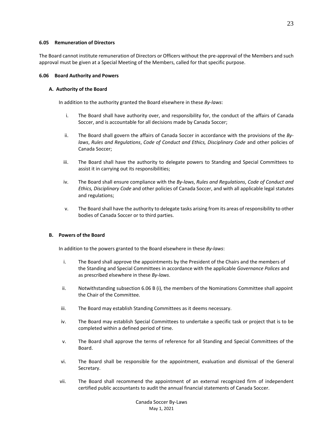## **6.05 Remuneration of Directors**

The Board cannot institute remuneration of Directors or Officers without the pre-approval of the Members and such approval must be given at a Special Meeting of the Members, called for that specific purpose.

## **6.06 Board Authority and Powers**

## **A. Authority of the Board**

In addition to the authority granted the Board elsewhere in these *By-laws*:

- i. The Board shall have authority over, and responsibility for, the conduct of the affairs of Canada Soccer, and is accountable for all decisions made by Canada Soccer;
- ii. The Board shall govern the affairs of Canada Soccer in accordance with the provisions of the *Bylaws*, *Rules and Regulations*, *Code of Conduct and Ethics, Disciplinary Code* and other policies of Canada Soccer;
- iii. The Board shall have the authority to delegate powers to Standing and Special Committees to assist it in carrying out its responsibilities;
- iv. The Board shall ensure compliance with the *By-laws*, *Rules and Regulations*, *Code of Conduct and Ethics, Disciplinary Code* and other policies of Canada Soccer, and with all applicable legal statutes and regulations;
- v. The Board shall have the authority to delegate tasks arising from its areas of responsibility to other bodies of Canada Soccer or to third parties.

# **B. Powers of the Board**

In addition to the powers granted to the Board elsewhere in these *By-laws*:

- i. The Board shall approve the appointments by the President of the Chairs and the members of the Standing and Special Committees in accordance with the applicable *Governance Polices* and as prescribed elsewhere in these *By-laws*.
- ii. Notwithstanding subsection 6.06 B (i), the members of the Nominations Committee shall appoint the Chair of the Committee.
- iii. The Board may establish Standing Committees as it deems necessary.
- iv. The Board may establish Special Committees to undertake a specific task or project that is to be completed within a defined period of time.
- v. The Board shall approve the terms of reference for all Standing and Special Committees of the Board.
- vi. The Board shall be responsible for the appointment, evaluation and dismissal of the General Secretary.
- vii. The Board shall recommend the appointment of an external recognized firm of independent certified public accountants to audit the annual financial statements of Canada Soccer.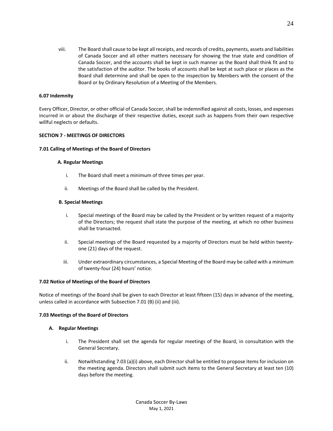viii. The Board shall cause to be kept all receipts, and records of credits, payments, assets and liabilities of Canada Soccer and all other matters necessary for showing the true state and condition of Canada Soccer, and the accounts shall be kept in such manner as the Board shall think fit and to the satisfaction of the auditor. The books of accounts shall be kept at such place or places as the Board shall determine and shall be open to the inspection by Members with the consent of the Board or by Ordinary Resolution of a Meeting of the Members.

## **6.07 Indemnity**

Every Officer, Director, or other official of Canada Soccer, shall be indemnified against all costs, losses, and expenses incurred in or about the discharge of their respective duties, except such as happens from their own respective willful neglects or defaults.

## **SECTION 7 - MEETINGS OF DIRECTORS**

#### **7.01 Calling of Meetings of the Board of Directors**

#### **A. Regular Meetings**

- i. The Board shall meet a minimum of three times per year.
- ii. Meetings of the Board shall be called by the President.

## **B. Special Meetings**

- i. Special meetings of the Board may be called by the President or by written request of a majority of the Directors; the request shall state the purpose of the meeting, at which no other business shall be transacted.
- ii. Special meetings of the Board requested by a majority of Directors must be held within twentyone (21) days of the request.
- iii. Under extraordinary circumstances, a Special Meeting of the Board may be called with a minimum of twenty-four (24) hours' notice.

#### **7.02 Notice of Meetings of the Board of Directors**

Notice of meetings of the Board shall be given to each Director at least fifteen (15) days in advance of the meeting, unless called in accordance with Subsection 7.01 (B) (ii) and (iii).

#### **7.03 Meetings of the Board of Directors**

# **A. Regular Meetings**

- i. The President shall set the agenda for regular meetings of the Board, in consultation with the General Secretary.
- ii. Notwithstanding 7.03 (a)(i) above, each Director shall be entitled to propose items for inclusion on the meeting agenda. Directors shall submit such items to the General Secretary at least ten (10) days before the meeting.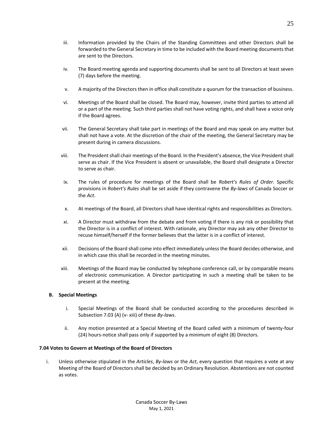- iii. Information provided by the Chairs of the Standing Committees and other Directors shall be forwarded to the General Secretary in time to be included with the Board meeting documents that are sent to the Directors.
- iv. The Board meeting agenda and supporting documents shall be sent to all Directors at least seven (7) days before the meeting.
- v. A majority of the Directors then in office shall constitute a quorum for the transaction of business.
- vi. Meetings of the Board shall be closed. The Board may, however, invite third parties to attend all or a part of the meeting. Such third parties shall not have voting rights, and shall have a voice only if the Board agrees.
- vii. The General Secretary shall take part in meetings of the Board and may speak on any matter but shall not have a vote. At the discretion of the chair of the meeting, the General Secretary may be present during in camera discussions.
- viii. The President shall chair meetings of the Board. In the President's absence, the Vice President shall serve as chair. If the Vice President is absent or unavailable, the Board shall designate a Director to serve as chair.
- ix. The rules of procedure for meetings of the Board shall be *Robert's Rules of Order*. Specific provisions in *Robert's Rules* shall be set aside if they contravene the *By-laws* of Canada Soccer or the *Act*.
- x. At meetings of the Board, all Directors shall have identical rights and responsibilities as Directors.
- xi. A Director must withdraw from the debate and from voting if there is any risk or possibility that the Director is in a conflict of interest. With rationale, any Director may ask any other Director to recuse himself/herself if the former believes that the latter is in a conflict of interest.
- xii. Decisions of the Board shall come into effect immediately unless the Board decides otherwise, and in which case this shall be recorded in the meeting minutes.
- xiii. Meetings of the Board may be conducted by telephone conference call, or by comparable means of electronic communication. A Director participating in such a meeting shall be taken to be present at the meeting.

# **B. Special Meetings**

- i. Special Meetings of the Board shall be conducted according to the procedures described in Subsection 7.03 (A) (v- xiii) of these *By-laws*.
- ii. Any motion presented at a Special Meeting of the Board called with a minimum of twenty-four (24) hours-notice shall pass only if supported by a minimum of eight (8) Directors.

# **7.04 Votes to Govern at Meetings of the Board of Directors**

i. Unless otherwise stipulated in the *Articles*, *By-laws* or the *Act*, every question that requires a vote at any Meeting of the Board of Directors shall be decided by an Ordinary Resolution. Abstentions are not counted as votes.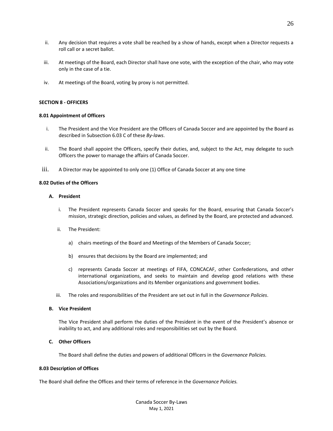- ii. Any decision that requires a vote shall be reached by a show of hands, except when a Director requests a roll call or a secret ballot.
- iii. At meetings of the Board, each Director shall have one vote, with the exception of the chair, who may vote only in the case of a tie.
- iv. At meetings of the Board, voting by proxy is not permitted.

#### **SECTION 8 - OFFICERS**

#### **8.01 Appointment of Officers**

- i. The President and the Vice President are the Officers of Canada Soccer and are appointed by the Board as described in Subsection 6.03 C of these *By-laws*.
- ii. The Board shall appoint the Officers, specify their duties, and, subject to the Act, may delegate to such Officers the power to manage the affairs of Canada Soccer.
- iii. A Director may be appointed to only one (1) Office of Canada Soccer at any one time

## **8.02 Duties of the Officers**

## **A. President**

- i. The President represents Canada Soccer and speaks for the Board, ensuring that Canada Soccer's mission, strategic direction, policies and values, as defined by the Board, are protected and advanced.
- ii. The President:
	- a) chairs meetings of the Board and Meetings of the Members of Canada Soccer;
	- b) ensures that decisions by the Board are implemented; and
	- c) represents Canada Soccer at meetings of FIFA, CONCACAF, other Confederations, and other international organizations, and seeks to maintain and develop good relations with these Associations/organizations and its Member organizations and government bodies.
- iii. The roles and responsibilities of the President are set out in full in the *Governance Policies*.

## **B. Vice President**

The Vice President shall perform the duties of the President in the event of the President's absence or inability to act, and any additional roles and responsibilities set out by the Board.

## **C. Other Officers**

The Board shall define the duties and powers of additional Officers in the *Governance Policies.*

## **8.03 Description of Offices**

The Board shall define the Offices and their terms of reference in the *Governance Policies.*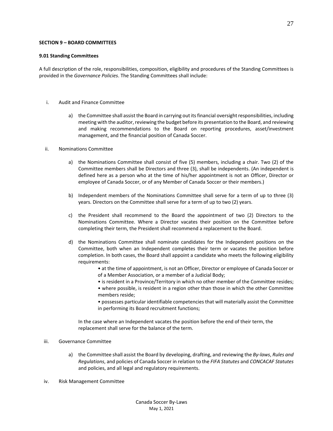#### **SECTION 9 – BOARD COMMITTEES**

#### **9.01 Standing Committees**

A full description of the role, responsibilities, composition, eligibility and procedures of the Standing Committees is provided in the *Governance Policies*. The Standing Committees shall include:

- i. Audit and Finance Committee
	- a) the Committee shall assist the Board in carrying out its financial oversight responsibilities, including meeting with the auditor, reviewing the budget before its presentation to the Board, and reviewing and making recommendations to the Board on reporting procedures, asset/investment management, and the financial position of Canada Soccer.
- ii. Nominations Committee
	- a) the Nominations Committee shall consist of five (5) members, including a chair. Two (2) of the Committee members shall be Directors and three (3), shall be independents. (An independent is defined here as a person who at the time of his/her appointment is not an Officer, Director or employee of Canada Soccer, or of any Member of Canada Soccer or their members.)
	- b) Independent members of the Nominations Committee shall serve for a term of up to three (3) years. Directors on the Committee shall serve for a term of up to two (2) years.
	- c) the President shall recommend to the Board the appointment of two (2) Directors to the Nominations Committee. Where a Director vacates their position on the Committee before completing their term, the President shall recommend a replacement to the Board.
	- d) the Nominations Committee shall nominate candidates for the Independent positions on the Committee, both when an Independent completes their term or vacates the position before completion. In both cases, the Board shall appoint a candidate who meets the following eligibility requirements:
		- at the time of appointment, is not an Officer, Director or employee of Canada Soccer or of a Member Association, or a member of a Judicial Body;
		- is resident in a Province/Territory in which no other member of the Committee resides; • where possible, is resident in a region other than those in which the other Committee members reside;
		- possesses particular identifiable competencies that will materially assist the Committee in performing its Board recruitment functions;

In the case where an Independent vacates the position before the end of their term, the replacement shall serve for the balance of the term.

# iii. Governance Committee

- a) the Committee shall assist the Board by developing, drafting, and reviewing the *By-laws*, *Rules and Regulations*, and policies of Canada Soccer in relation to the *FIFA Statutes* and *CONCACAF Statutes* and policies, and all legal and regulatory requirements.
- iv. Risk Management Committee

27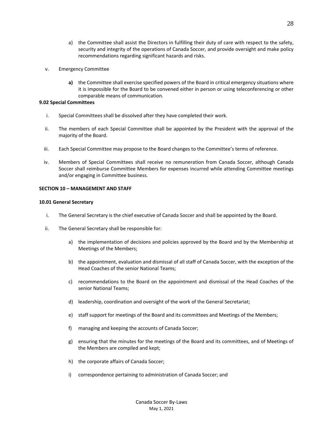- a) the Committee shall assist the Directors in fulfilling their duty of care with respect to the safety, security and integrity of the operations of Canada Soccer, and provide oversight and make policy recommendations regarding significant hazards and risks.
- v. Emergency Committee
	- **a)** the Committee shall exercise specified powers of the Board in critical emergency situations where it is impossible for the Board to be convened either in person or using teleconferencing or other comparable means of communication.

## **9.02 Special Committees**

- i. Special Committees shall be dissolved after they have completed their work.
- ii. The members of each Special Committee shall be appointed by the President with the approval of the majority of the Board.
- iii. Each Special Committee may propose to the Board changes to the Committee's terms of reference.
- iv. Members of Special Committees shall receive no remuneration from Canada Soccer, although Canada Soccer shall reimburse Committee Members for expenses incurred while attending Committee meetings and/or engaging in Committee business.

# **SECTION 10 – MANAGEMENT AND STAFF**

# **10.01 General Secretary**

- i. The General Secretary is the chief executive of Canada Soccer and shall be appointed by the Board.
- ii. The General Secretary shall be responsible for:
	- a) the implementation of decisions and policies approved by the Board and by the Membership at Meetings of the Members;
	- b) the appointment, evaluation and dismissal of all staff of Canada Soccer, with the exception of the Head Coaches of the senior National Teams;
	- c) recommendations to the Board on the appointment and dismissal of the Head Coaches of the senior National Teams;
	- d) leadership, coordination and oversight of the work of the General Secretariat;
	- e) staff support for meetings of the Board and its committees and Meetings of the Members;
	- f) managing and keeping the accounts of Canada Soccer;
	- g) ensuring that the minutes for the meetings of the Board and its committees, and of Meetings of the Members are compiled and kept;
	- h) the corporate affairs of Canada Soccer;
	- i) correspondence pertaining to administration of Canada Soccer; and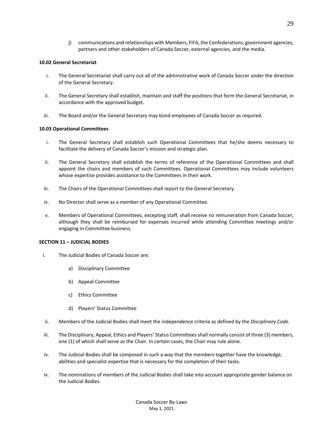j) communications and relationships with Members, FIFA, the Confederations, government agencies, partners and other stakeholders of Canada Soccer, external agencies, and the media.

## **10.02 General Secretariat**

- i. The General Secretariat shall carry out all of the administrative work of Canada Soccer under the direction of the General Secretary.
- ii. The General Secretary shall establish, maintain and staff the positions that form the General Secretariat, in accordance with the approved budget.
- iii. The Board and/or the General Secretary may bond employees of Canada Soccer as required.

## **10.03 Operational Committees**

- i. The General Secretary shall establish such Operational Committees that he/she deems necessary to facilitate the delivery of Canada Soccer's mission and strategic plan.
- ii. The General Secretary shall establish the terms of reference of the Operational Committees and shall appoint the chairs and members of such Committees. Operational Committees may include volunteers whose expertise provides assistance to the Committees in their work.
- iii. The Chairs of the Operational Committees shall report to the General Secretary.
- iv. No Director shall serve as a member of any Operational Committee.
- v. Members of Operational Committees, excepting staff, shall receive no remuneration from Canada Soccer, although they shall be reimbursed for expenses incurred while attending Committee meetings and/or engaging in Committee business.

#### **SECTION 11 – JUDICIAL BODIES**

- i. The Judicial Bodies of Canada Soccer are:
	- a) Disciplinary Committee
	- b) Appeal Committee
	- c) Ethics Committee
	- d) Players' Status Committee
- ii. Members of the Judicial Bodies shall meet the independence criteria as defined by the *Disciplinary Code*.
- iii. The Disciplinary, Appeal, Ethics and Players' Status Committees shall normally consist of three (3) members, one (1) of which shall serve as the Chair. In certain cases, the Chair may rule alone.
- iv. The Judicial Bodies shall be composed in such a way that the members together have the knowledge, abilities and specialist expertise that is necessary for the completion of their tasks.
- iv. The nominations of members of the Judicial Bodies shall take into account appropriate gender balance on the Judicial Bodies.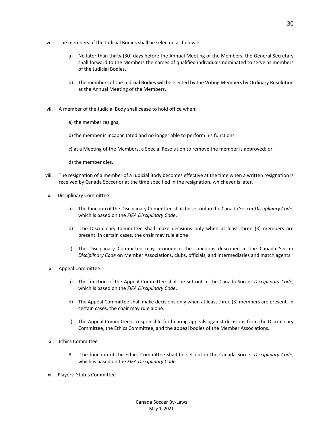- vi. The members of the Judicial Bodies shall be selected as follows:
	- a) No later than thirty (30) days before the Annual Meeting of the Members, the General Secretary shall forward to the Members the names of qualified individuals nominated to serve as members of the Judicial Bodies.
	- b) The members of the Judicial Bodies will be elected by the Voting Members by Ordinary Resolution at the Annual Meeting of the Members.
- vii. A member of the Judicial Body shall cease to hold office when:
	- a) the member resigns;
	- b) the member is incapacitated and no longer able to perform his functions.
	- c) at a Meeting of the Members, a Special Resolution to remove the member is approved; or
	- d) the member dies.
- viii. The resignation of a member of a Judicial Body becomes effective at the time when a written resignation is received by Canada Soccer or at the time specified in the resignation, whichever is later.
- ix. Disciplinary Committee:
	- a) The function of the Disciplinary Committee shall be set out in the Canada Soccer *Disciplinary Code*, which is based on the *FIFA Disciplinary Code*.
	- b) The Disciplinary Committee shall make decisions only when at least three (3) members are present. In certain cases, the chair may rule alone
	- c) The Disciplinary Committee may pronounce the sanctions described in the Canada Soccer *Disciplinary Code* on Member Associations, clubs, officials, and intermediaries and match agents.
- x. Appeal Committee
	- a) The function of the Appeal Committee shall be set out in the Canada Soccer *Disciplinary Code*, which is based on the *FIFA Disciplinary Code*.
	- b) The Appeal Committee shall make decisions only when at least three (3) members are present. In certain cases, the chair may rule alone.
	- c) The Appeal Committee is responsible for hearing appeals against decisions from the Disciplinary Committee, the Ethics Committee, and the appeal bodies of the Member Associations.
- xi. Ethics Committee
	- A. The function of the Ethics Committee shall be set out in the Canada Soccer *Disciplinary Code*, which is based on the *FIFA Disciplinary Code*.
- xii. Players' Status Committee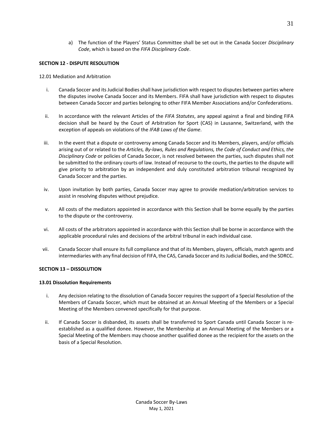a) The function of the Players' Status Committee shall be set out in the Canada Soccer *Disciplinary Code*, which is based on the *FIFA Disciplinary Code*.

# **SECTION 12 - DISPUTE RESOLUTION**

# 12.01 Mediation and Arbitration

- i. Canada Soccer and its Judicial Bodies shall have jurisdiction with respect to disputes between parties where the disputes involve Canada Soccer and its Members. FIFA shall have jurisdiction with respect to disputes between Canada Soccer and parties belonging to other FIFA Member Associations and/or Confederations.
- ii. In accordance with the relevant Articles of the *FIFA Statutes*, any appeal against a final and binding FIFA decision shall be heard by the Court of Arbitration for Sport (CAS) in Lausanne, Switzerland, with the exception of appeals on violations of the *IFAB Laws of the Game*.
- iii. In the event that a dispute or controversy among Canada Soccer and its Members, players, and/or officials arising out of or related to the *Articles, By-laws, Rules and Regulations, the Code of Conduct and Ethics, the Disciplinary Code* or policies of Canada Soccer, is not resolved between the parties, such disputes shall not be submitted to the ordinary courts of law. Instead of recourse to the courts, the parties to the dispute will give priority to arbitration by an independent and duly constituted arbitration tribunal recognized by Canada Soccer and the parties.
- iv. Upon invitation by both parties, Canada Soccer may agree to provide mediation/arbitration services to assist in resolving disputes without prejudice.
- v. All costs of the mediators appointed in accordance with this Section shall be borne equally by the parties to the dispute or the controversy.
- vi. All costs of the arbitrators appointed in accordance with this Section shall be borne in accordance with the applicable procedural rules and decisions of the arbitral tribunal in each individual case.
- vii. Canada Soccer shall ensure its full compliance and that of its Members, players, officials, match agents and intermediaries with any final decision of FIFA, the CAS, Canada Soccer and its Judicial Bodies, and the SDRCC.

# **SECTION 13 – DISSOLUTION**

# **13.01 Dissolution Requirements**

- i. Any decision relating to the dissolution of Canada Soccer requires the support of a Special Resolution of the Members of Canada Soccer, which must be obtained at an Annual Meeting of the Members or a Special Meeting of the Members convened specifically for that purpose.
- ii. If Canada Soccer is disbanded, its assets shall be transferred to Sport Canada until Canada Soccer is reestablished as a qualified donee. However, the Membership at an Annual Meeting of the Members or a Special Meeting of the Members may choose another qualified donee as the recipient for the assets on the basis of a Special Resolution.